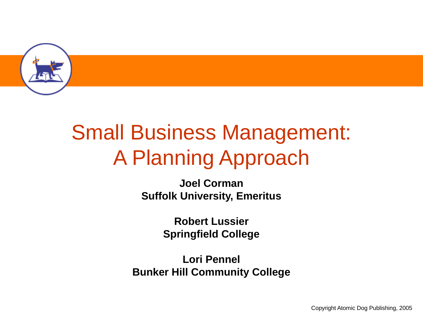

# Small Business Management: A Planning Approach

**Joel Corman Suffolk University, Emeritus**

> **Robert Lussier Springfield College**

**Lori Pennel Bunker Hill Community College**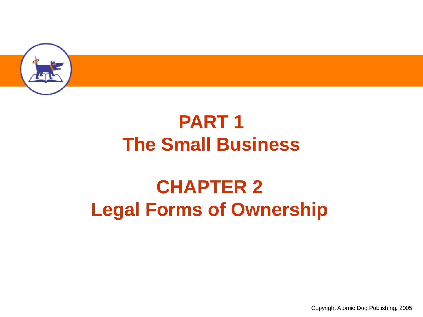

### **PART 1 The Small Business**

### **CHAPTER 2 Legal Forms of Ownership**

Copyright Atomic Dog Publishing, 2005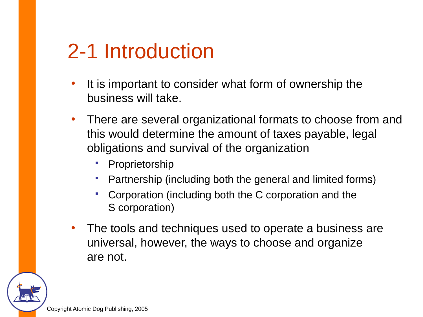### 2-1 Introduction

- It is important to consider what form of ownership the business will take.
- There are several organizational formats to choose from and this would determine the amount of taxes payable, legal obligations and survival of the organization
	- Proprietorship
	- Partnership (including both the general and limited forms)
	- Corporation (including both the C corporation and the S corporation)
- The tools and techniques used to operate a business are universal, however, the ways to choose and organize are not.

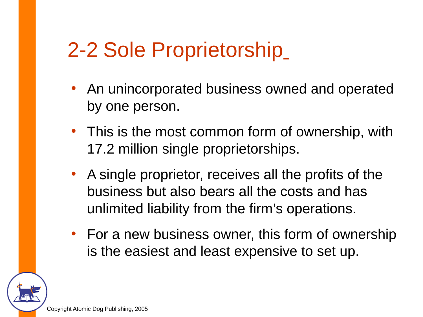### 2-2 Sole Proprietorship

- An unincorporated business owned and operated by one person.
- This is the most common form of ownership, with 17.2 million single proprietorships.
- A single proprietor, receives all the profits of the business but also bears all the costs and has unlimited liability from the firm's operations.
- For a new business owner, this form of ownership is the easiest and least expensive to set up.

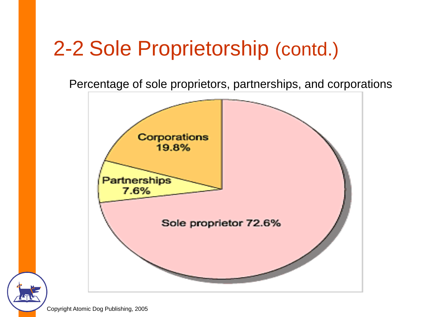## 2-2 Sole Proprietorship (contd.)

Percentage of sole proprietors, partnerships, and corporations

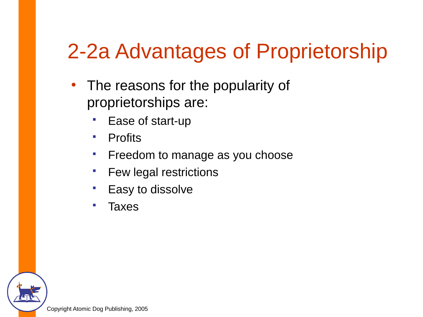# 2-2a Advantages of Proprietorship

- The reasons for the popularity of proprietorships are:
	- **Ease of start-up**
	- Profits
	- **Filter** Freedom to manage as you choose
	- **Few legal restrictions**
	- **Easy to dissolve**
	- Taxes

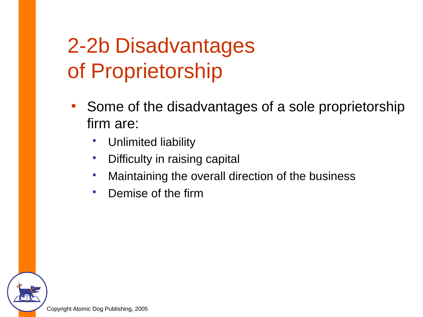# 2-2b Disadvantages of Proprietorship

- Some of the disadvantages of a sole proprietorship firm are:
	- **•** Unlimited liability
	- **•** Difficulty in raising capital
	- **Maintaining the overall direction of the business**
	- Demise of the firm

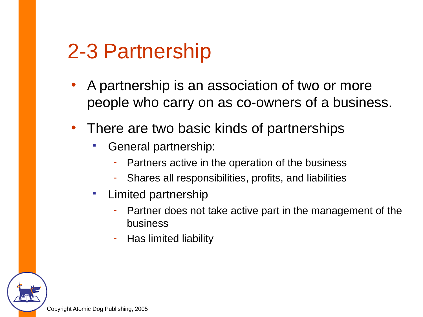### 2-3 Partnership

- A partnership is an association of two or more people who carry on as co-owners of a business.
- There are two basic kinds of partnerships
	- General partnership:
		- Partners active in the operation of the business
		- Shares all responsibilities, profits, and liabilities
	- **Limited partnership** 
		- Partner does not take active part in the management of the business
		- Has limited liability

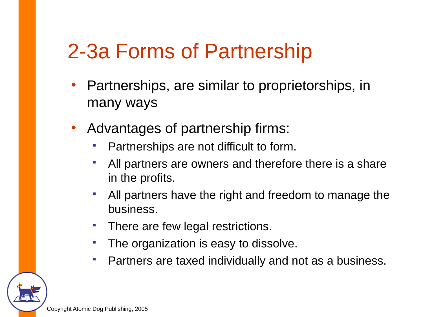### 2-3a Forms of Partnership

- Partnerships, are similar to proprietorships, in many ways
- Advantages of partnership firms:
	- Partnerships are not difficult to form.
	- All partners are owners and therefore there is a share in the profits.
	- All partners have the right and freedom to manage the business.
	- **There are few legal restrictions.**
	- **The organization is easy to dissolve.**
	- Partners are taxed individually and not as a business.

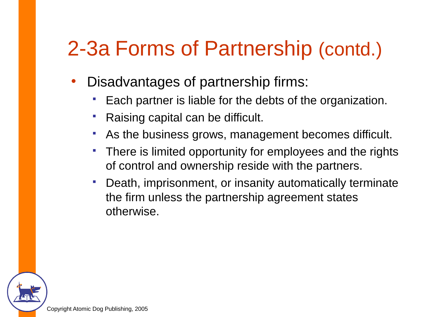### 2-3a Forms of Partnership (contd.)

- Disadvantages of partnership firms:
	- Each partner is liable for the debts of the organization.
	- Raising capital can be difficult.
	- As the business grows, management becomes difficult.
	- There is limited opportunity for employees and the rights of control and ownership reside with the partners.
	- Death, imprisonment, or insanity automatically terminate the firm unless the partnership agreement states otherwise.

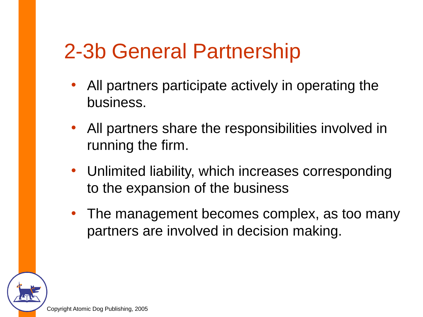### 2-3b General Partnership

- All partners participate actively in operating the business.
- All partners share the responsibilities involved in running the firm.
- Unlimited liability, which increases corresponding to the expansion of the business
- The management becomes complex, as too many partners are involved in decision making.

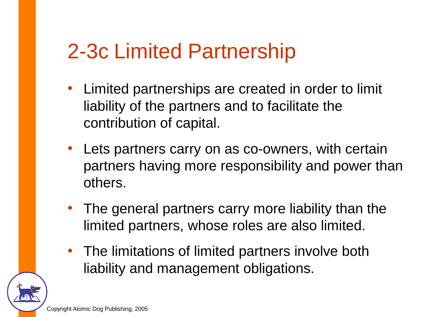### 2-3c Limited Partnership

- Limited partnerships are created in order to limit liability of the partners and to facilitate the contribution of capital.
- Lets partners carry on as co-owners, with certain partners having more responsibility and power than others.
- The general partners carry more liability than the limited partners, whose roles are also limited.
- The limitations of limited partners involve both liability and management obligations.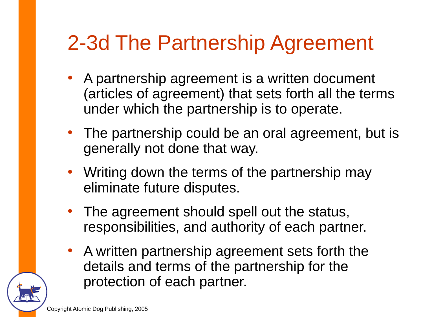## 2-3d The Partnership Agreement

- A partnership agreement is a written document (articles of agreement) that sets forth all the terms under which the partnership is to operate.
- The partnership could be an oral agreement, but is generally not done that way.
- Writing down the terms of the partnership may eliminate future disputes.
- The agreement should spell out the status, responsibilities, and authority of each partner.
- A written partnership agreement sets forth the details and terms of the partnership for the protection of each partner.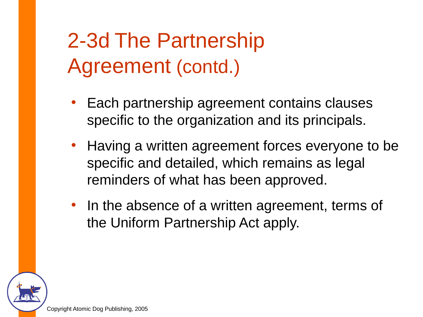## 2-3d The Partnership Agreement (contd.)

- Each partnership agreement contains clauses specific to the organization and its principals.
- Having a written agreement forces everyone to be specific and detailed, which remains as legal reminders of what has been approved.
- In the absence of a written agreement, terms of the Uniform Partnership Act apply.

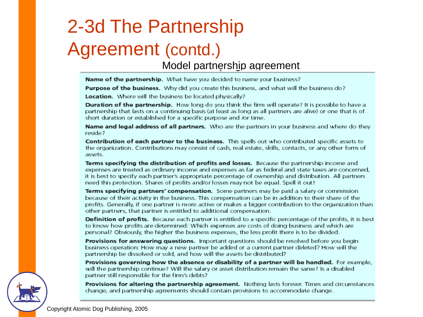## 2-3d The Partnership Agreement (contd.)

Model partnership agreement

Name of the partnership. What have you decided to name your business?

**Purpose of the business.** Why did you create this business, and what will the business do?

Location. Where will the business be located physically?

**Duration of the partnership.** How long do you think the firm will operate? It is possible to have a partnership that lasts on a continuing basis (at least as long as all partners are alive) or one that is of short duration or established for a specific purpose and /or time.

**Name and legal address of all partners.** Who are the partners in your business and where do they reside?

Contribution of each partner to the business. This spells out who contributed specific assets to the organization. Contributions may consist of cash, real estate, skills, contacts, or any other form of assets.

Terms specifying the distribution of profits and losses. Because the partnership income and expenses are treated as ordinary income and expenses as far as federal and state taxes are concerned. it is best to specify each partner's appropriate percentage of ownership and distribution. All partners need this protection. Shares of profits and/or losses may not be equal. Spell it out!

Terms specifying partners' compensation. Some partners may be paid a salary or commission because of their activity in the business. This compensation can be in addition to their share of the profits. Generally, if one partner is more active or makes a bigger contribution to the organization than other partners, that partner is entitled to additional compensation.

**Definition of profits.** Because each partner is entitled to a specific percentage of the profits, it is best to know how profits are determined: Which expenses are costs of doing business and which are personal? Obviously, the higher the business expenses, the less profit there is to be divided.

**Provisions for answering questions.** Important questions should be resolved before you begin business operation: How may a new partner be added or a current partner deleted? How will the partnership be dissolved or sold, and how will the assets be distributed?

Provisions governing how the absence or disability of a partner will be handled. For example, will the partnership continue? Will the salary or asset distribution remain the same? Is a disabled partner still responsible for the firm's debts?

**Provisions for altering the partnership agreement.** Nothing lasts forever. Times and circumstances change, and partnership agreements should contain provisions to accommodate change.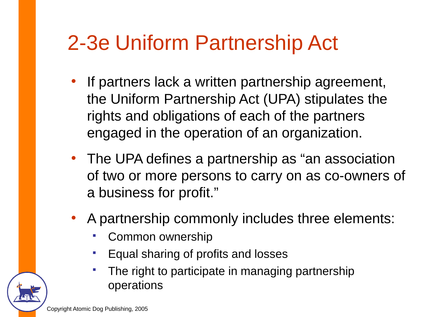## 2-3e Uniform Partnership Act

- If partners lack a written partnership agreement, the Uniform Partnership Act (UPA) stipulates the rights and obligations of each of the partners engaged in the operation of an organization.
- The UPA defines a partnership as "an association of two or more persons to carry on as co-owners of a business for profit."
- A partnership commonly includes three elements:
	- Common ownership
	- Equal sharing of profits and losses
	- **The right to participate in managing partnership** operations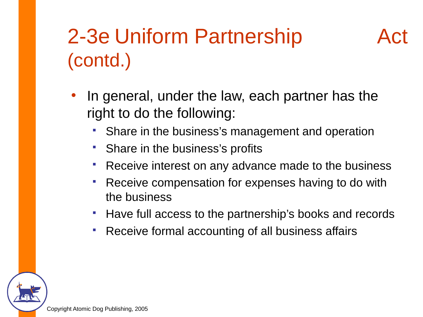## 2-3e Uniform Partnership Act (contd.)

- In general, under the law, each partner has the right to do the following:
	- Share in the business's management and operation
	- Share in the business's profits
	- **Receive interest on any advance made to the business**
	- **Receive compensation for expenses having to do with** the business
	- **Have full access to the partnership's books and records**
	- **Receive formal accounting of all business affairs**

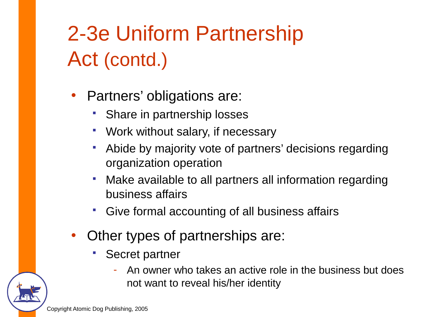# 2-3e Uniform Partnership Act (contd.)

- Partners' obligations are:
	- Share in partnership losses
	- Work without salary, if necessary
	- Abide by majority vote of partners' decisions regarding organization operation
	- Make available to all partners all information regarding business affairs
	- Give formal accounting of all business affairs
- Other types of partnerships are:
	- Secret partner
		- An owner who takes an active role in the business but does not want to reveal his/her identity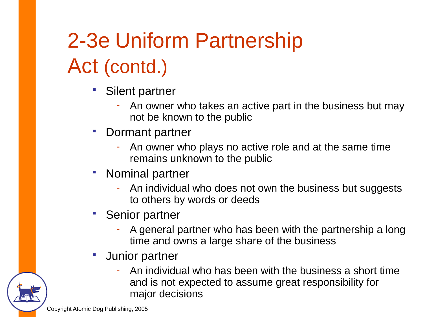# 2-3e Uniform Partnership Act (contd.)

- Silent partner
	- An owner who takes an active part in the business but may not be known to the public
- Dormant partner
	- An owner who plays no active role and at the same time remains unknown to the public
- Nominal partner
	- An individual who does not own the business but suggests to others by words or deeds
- Senior partner
	- A general partner who has been with the partnership a long time and owns a large share of the business
- Junior partner
	- An individual who has been with the business a short time and is not expected to assume great responsibility for major decisions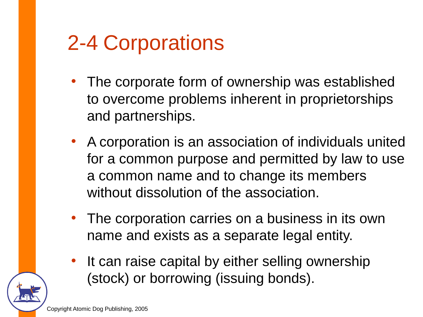## 2-4 Corporations

- The corporate form of ownership was established to overcome problems inherent in proprietorships and partnerships.
- A corporation is an association of individuals united for a common purpose and permitted by law to use a common name and to change its members without dissolution of the association.
- The corporation carries on a business in its own name and exists as a separate legal entity.
- It can raise capital by either selling ownership (stock) or borrowing (issuing bonds).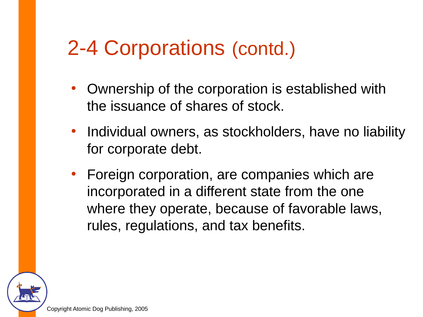### 2-4 Corporations (contd.)

- Ownership of the corporation is established with the issuance of shares of stock.
- Individual owners, as stockholders, have no liability for corporate debt.
- Foreign corporation, are companies which are incorporated in a different state from the one where they operate, because of favorable laws, rules, regulations, and tax benefits.

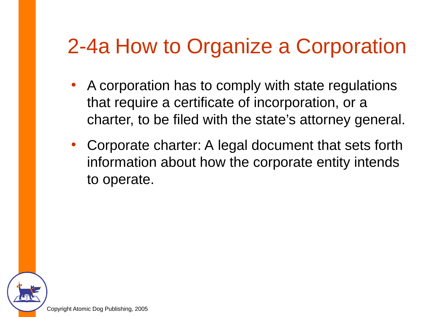## 2-4a How to Organize a Corporation

- A corporation has to comply with state regulations that require a certificate of incorporation, or a charter, to be filed with the state's attorney general.
- Corporate charter: A legal document that sets forth information about how the corporate entity intends to operate.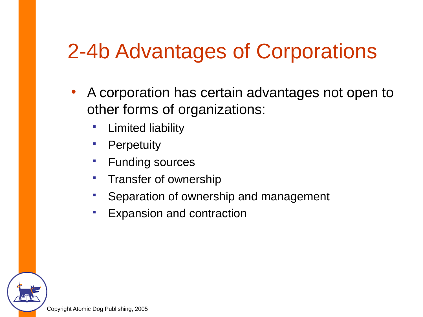## 2-4b Advantages of Corporations

- A corporation has certain advantages not open to other forms of organizations:
	- Limited liability
	- **•** Perpetuity
	- **Funding sources**
	- **Transfer of ownership**
	- **Separation of ownership and management**
	- **Expansion and contraction**

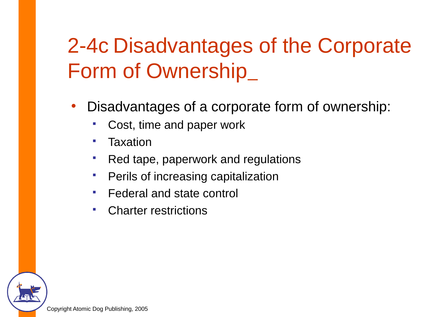# 2-4c Disadvantages of the Corporate Form of Ownership

- Disadvantages of a corporate form of ownership:
	- Cost, time and paper work
	- Taxation
	- Red tape, paperwork and regulations
	- **Perils of increasing capitalization**
	- Federal and state control
	- Charter restrictions

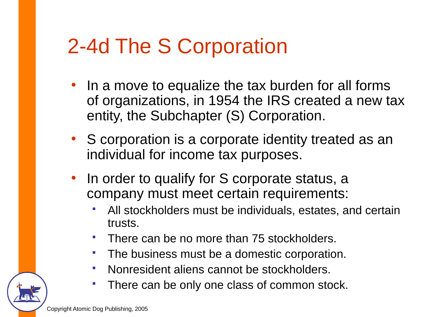## 2-4d The S Corporation

- In a move to equalize the tax burden for all forms of organizations, in 1954 the IRS created a new tax entity, the Subchapter (S) Corporation.
- S corporation is a corporate identity treated as an individual for income tax purposes.
- In order to qualify for S corporate status, a company must meet certain requirements:
	- All stockholders must be individuals, estates, and certain trusts.
	- There can be no more than 75 stockholders.
	- The business must be a domestic corporation.
	- Nonresident aliens cannot be stockholders.
	- There can be only one class of common stock.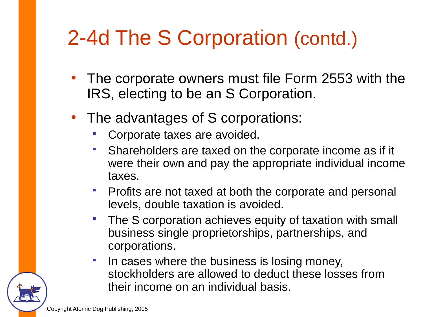# 2-4d The S Corporation (contd.)

- The corporate owners must file Form 2553 with the IRS, electing to be an S Corporation.
- The advantages of S corporations:
	- Corporate taxes are avoided.
	- Shareholders are taxed on the corporate income as if it were their own and pay the appropriate individual income taxes.
	- **Profits are not taxed at both the corporate and personal** levels, double taxation is avoided.
	- **The S corporation achieves equity of taxation with small** business single proprietorships, partnerships, and corporations.
	- In cases where the business is losing money, stockholders are allowed to deduct these losses from their income on an individual basis.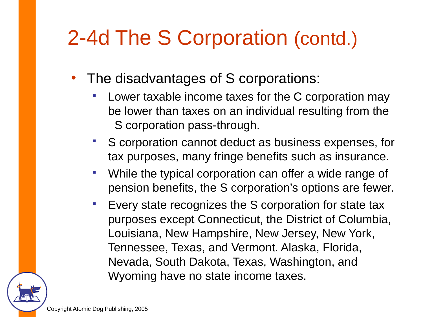## 2-4d The S Corporation (contd.)

- The disadvantages of S corporations:
	- Lower taxable income taxes for the C corporation may be lower than taxes on an individual resulting from the S corporation pass-through.
	- S corporation cannot deduct as business expenses, for tax purposes, many fringe benefits such as insurance.
	- While the typical corporation can offer a wide range of pension benefits, the S corporation's options are fewer.
	- Every state recognizes the S corporation for state tax purposes except Connecticut, the District of Columbia, Louisiana, New Hampshire, New Jersey, New York, Tennessee, Texas, and Vermont. Alaska, Florida, Nevada, South Dakota, Texas, Washington, and Wyoming have no state income taxes.

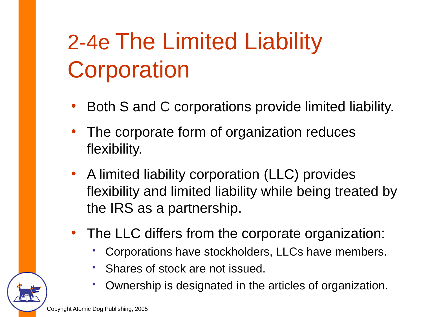# 2-4e The Limited Liability **Corporation**

- Both S and C corporations provide limited liability.
- The corporate form of organization reduces flexibility.
- A limited liability corporation (LLC) provides flexibility and limited liability while being treated by the IRS as a partnership.
- The LLC differs from the corporate organization:
	- Corporations have stockholders, LLCs have members.
	- Shares of stock are not issued.
	- Ownership is designated in the articles of organization.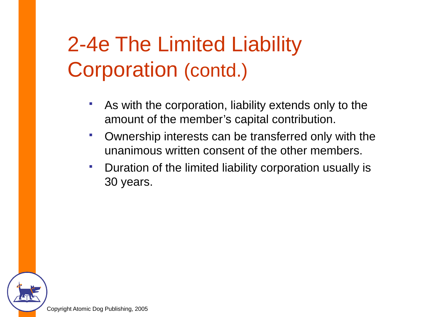# 2-4e The Limited Liability Corporation (contd.)

- As with the corporation, liability extends only to the amount of the member's capital contribution.
- Ownership interests can be transferred only with the unanimous written consent of the other members.
- **Duration of the limited liability corporation usually is** 30 years.

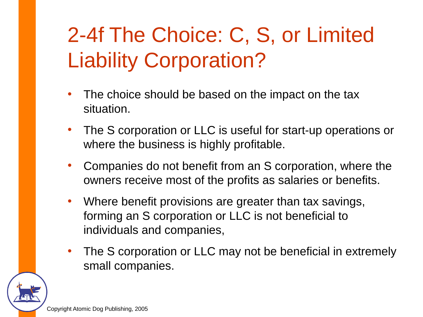# 2-4f The Choice: C, S, or Limited Liability Corporation?

- The choice should be based on the impact on the tax situation.
- The S corporation or LLC is useful for start-up operations or where the business is highly profitable.
- Companies do not benefit from an S corporation, where the owners receive most of the profits as salaries or benefits.
- Where benefit provisions are greater than tax savings, forming an S corporation or LLC is not beneficial to individuals and companies,
- The S corporation or LLC may not be beneficial in extremely small companies.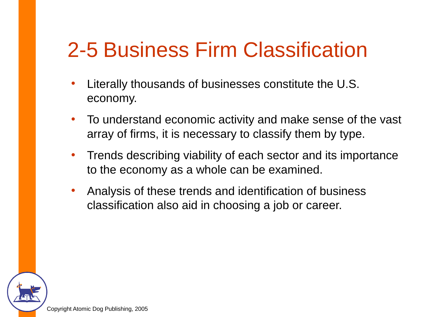## 2-5 Business Firm Classification

- Literally thousands of businesses constitute the U.S. economy.
- To understand economic activity and make sense of the vast array of firms, it is necessary to classify them by type.
- Trends describing viability of each sector and its importance to the economy as a whole can be examined.
- Analysis of these trends and identification of business classification also aid in choosing a job or career.

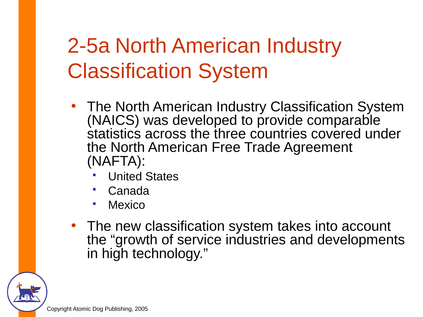# 2-5a North American Industry Classification System

- The North American Industry Classification System (NAICS) was developed to provide comparable statistics across the three countries covered under the North American Free Trade Agreement (NAFTA):
	- United States
	- Canada
	- Mexico
- The new classification system takes into account the "growth of service industries and developments in high technology."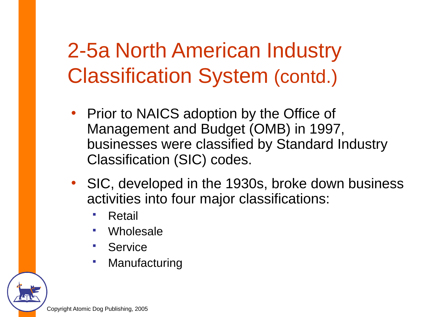# 2-5a North American Industry Classification System (contd.)

- Prior to NAICS adoption by the Office of Management and Budget (OMB) in 1997, businesses were classified by Standard Industry Classification (SIC) codes.
- SIC, developed in the 1930s, broke down business activities into four major classifications:
	- Retail
	- Wholesale
	- **Service**
	- Manufacturing